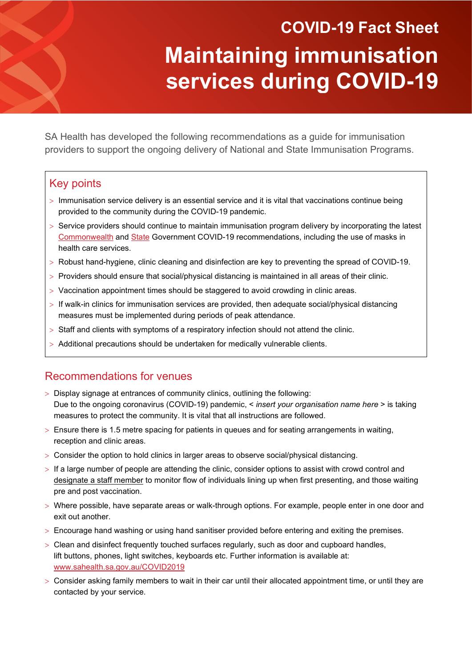# **COVID-19 Fact Sheet Maintaining immunisation services during COVID-19**

SA Health has developed the following recommendations as a guide for immunisation providers to support the ongoing delivery of National and State Immunisation Programs.

## Key points

- > Immunisation service delivery is an essential service and it is vital that vaccinations continue being provided to the community during the COVID-19 pandemic.
- > Service providers should continue to maintain immunisation program delivery by incorporating the latest [Commonwealth](https://www.health.gov.au/news/health-alerts/novel-coronavirus-2019-ncov-health-alert?utm_source=health.gov.au&utm_medium=redirect&utm_campaign=digital_transformation&utm_content=health-topics/novel-coronavirus-2019-ncov) and [State](https://www.sahealth.sa.gov.au/wps/wcm/connect/public+content/sa+health+internet/conditions/infectious+diseases/covid-19/covid-19) Government COVID-19 recommendations, including the use of masks in health care services.
- > Robust hand-hygiene, clinic cleaning and disinfection are key to preventing the spread of COVID-19.
- > Providers should ensure that social/physical distancing is maintained in all areas of their clinic.
- > Vaccination appointment times should be staggered to avoid crowding in clinic areas.
- > If walk-in clinics for immunisation services are provided, then adequate social/physical distancing measures must be implemented during periods of peak attendance.
- > Staff and clients with symptoms of a respiratory infection should not attend the clinic.
- > Additional precautions should be undertaken for medically vulnerable clients.

## Recommendations for venues

- > Display signage at entrances of community clinics, outlining the following: Due to the ongoing coronavirus (COVID-19) pandemic, < *insert your organisation name here* > is taking measures to protect the community. It is vital that all instructions are followed.
- > Ensure there is 1.5 metre spacing for patients in queues and for seating arrangements in waiting, reception and clinic areas.
- > Consider the option to hold clinics in larger areas to observe social/physical distancing.
- > If a large number of people are attending the clinic, consider options to assist with crowd control and [designate a staff member](https://www.covid-19.sa.gov.au/business-and-work/covid-marshals) to monitor flow of individuals lining up when first presenting, and those waiting pre and post vaccination.
- > Where possible, have separate areas or walk-through options. For example, people enter in one door and exit out another.
- > Encourage hand washing or using hand sanitiser provided before entering and exiting the premises.
- $>$  Clean and disinfect frequently touched surfaces regularly, such as door and cupboard handles, lift buttons, phones, light switches, keyboards etc. Further information is available at: [www.sahealth.sa.gov.au/COVID2019](http://www.sahealth.sa.gov.au/COVID2019)
- $>$  Consider asking family members to wait in their car until their allocated appointment time, or until they are contacted by your service.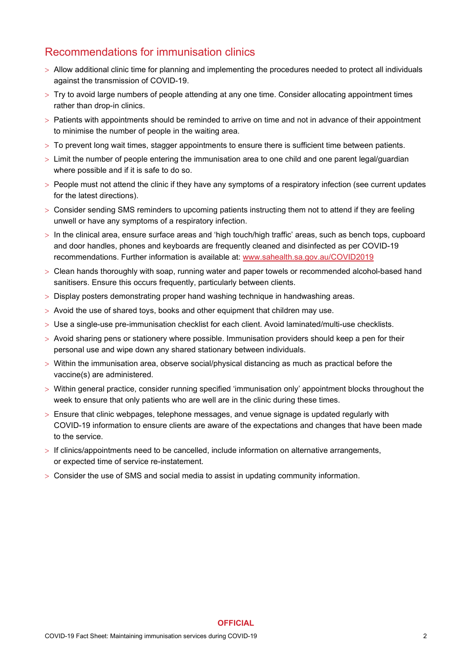## Recommendations for immunisation clinics

- > Allow additional clinic time for planning and implementing the procedures needed to protect all individuals against the transmission of COVID-19.
- > Try to avoid large numbers of people attending at any one time. Consider allocating appointment times rather than drop-in clinics.
- > Patients with appointments should be reminded to arrive on time and not in advance of their appointment to minimise the number of people in the waiting area.
- > To prevent long wait times, stagger appointments to ensure there is sufficient time between patients.
- > Limit the number of people entering the immunisation area to one child and one parent legal/guardian where possible and if it is safe to do so.
- > People must not attend the clinic if they have any symptoms of a respiratory infection (see current updates for the latest directions).
- > Consider sending SMS reminders to upcoming patients instructing them not to attend if they are feeling unwell or have any symptoms of a respiratory infection.
- > In the clinical area, ensure surface areas and 'high touch/high traffic' areas, such as bench tops, cupboard and door handles, phones and keyboards are frequently cleaned and disinfected as per COVID-19 recommendations. Further information is available at: [www.sahealth.sa.gov.au/COVID2019](http://www.sahealth.sa.gov.au/COVID2019)
- > Clean hands thoroughly with soap, running water and paper towels or recommended alcohol-based hand sanitisers. Ensure this occurs frequently, particularly between clients.
- > Display posters demonstrating proper hand washing technique in handwashing areas.
- > Avoid the use of shared toys, books and other equipment that children may use.
- > Use a single-use pre-immunisation checklist for each client. Avoid laminated/multi-use checklists.
- $>$  Avoid sharing pens or stationery where possible. Immunisation providers should keep a pen for their personal use and wipe down any shared stationary between individuals.
- > Within the immunisation area, observe social/physical distancing as much as practical before the vaccine(s) are administered.
- > Within general practice, consider running specified 'immunisation only' appointment blocks throughout the week to ensure that only patients who are well are in the clinic during these times.
- $>$  Ensure that clinic webpages, telephone messages, and venue signage is updated regularly with COVID-19 information to ensure clients are aware of the expectations and changes that have been made to the service.

**OFFICIAL**

- > If clinics/appointments need to be cancelled, include information on alternative arrangements, or expected time of service re-instatement.
- > Consider the use of SMS and social media to assist in updating community information.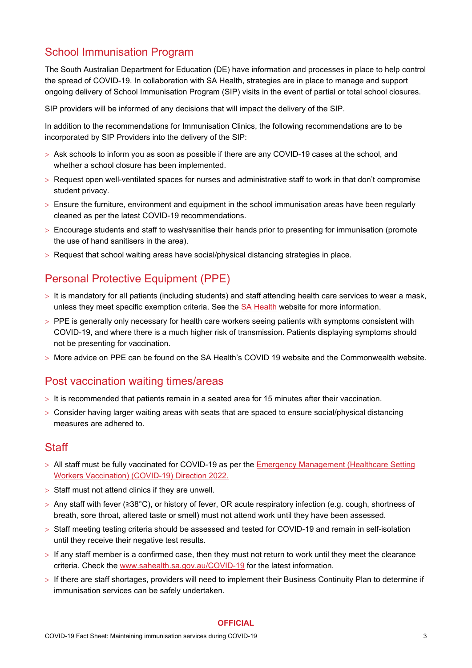## School Immunisation Program

The South Australian [Department for Education](https://www.education.sa.gov.au/supporting-students/health-e-safety-and-wellbeing/covid-19-coronavirus) (DE) have [information and processes in place to help control](https://www.education.sa.gov.au/supporting-students/health-e-safety-and-wellbeing/covid-19-coronavirus)  [the spread of COVID-19.](https://www.education.sa.gov.au/supporting-students/health-e-safety-and-wellbeing/covid-19-coronavirus) In collaboration with SA Health, strategies are in place to manage and support ongoing delivery of School Immunisation Program (SIP) visits in the event of partial or total school closures.

SIP providers will be informed of any decisions that will impact the delivery of the SIP.

In addition to the recommendations for Immunisation Clinics, the following recommendations are to be incorporated by SIP Providers into the delivery of the SIP:

- > Ask schools to inform you as soon as possible if there are any COVID-19 cases at the school, and whether a school closure has been implemented.
- > Request open well-ventilated spaces for nurses and administrative staff to work in that don't compromise student privacy.
- > Ensure the furniture, environment and equipment in the school immunisation areas have been regularly cleaned as per the latest COVID-19 recommendations.
- > Encourage students and staff to wash/sanitise their hands prior to presenting for immunisation (promote the use of hand sanitisers in the area).
- > Request that school waiting areas have social/physical distancing strategies in place.

## Personal Protective Equipment (PPE)

- $>$  It is mandatory for all patients (including students) and staff attending health care services to wear a mask, unless they meet specific exemption criteria. See the [SA Health](https://www.covid-19.sa.gov.au/restrictions-and-responsibilities/activities-and-gatherings/current-activity-restrictions) website for more information.
- > PPE is generally only necessary for health care workers seeing patients with symptoms consistent with COVID-19, and where there is a much higher risk of transmission. Patients displaying symptoms should not be presenting for vaccination.
- > More advice on PPE can be found on the SA Health's COVID 19 website and the Commonwealth website.

## Post vaccination waiting times/areas

- > It is recommended that patients remain in a seated area for 15 minutes after their vaccination.
- > Consider having larger waiting areas with seats that are spaced to ensure social/physical distancing measures are adhered to.

#### **Staff**

- > All staff must be fully vaccinated for COVID-19 as per the [Emergency Management \(Healthcare Setting](https://www.covid-19.sa.gov.au/emergency-declarations/healthcare-setting-workers-vaccination)  [Workers Vaccination\) \(COVID-19\) Direction 2022.](https://www.covid-19.sa.gov.au/emergency-declarations/healthcare-setting-workers-vaccination)
- > Staff must not attend clinics if they are unwell.
- > Any staff with fever (≥38°C), or history of fever, OR acute respiratory infection (e.g. cough, shortness of breath, sore throat, altered taste or smell) must not attend work until they have been assessed.
- > Staff meeting testing criteria should be assessed and tested for COVID-19 and remain in self-isolation until they receive their negative test results.
- $>$  If any staff member is a confirmed case, then they must not return to work until they meet the clearance criteria. Check the [www.sahealth.sa.gov.au/COVID-19](http://www.sahealth.sa.gov.au/COVID-19) for the latest information.
- > If there are staff shortages, providers will need to implement their Business Continuity Plan to determine if immunisation services can be safely undertaken.

#### **OFFICIAL**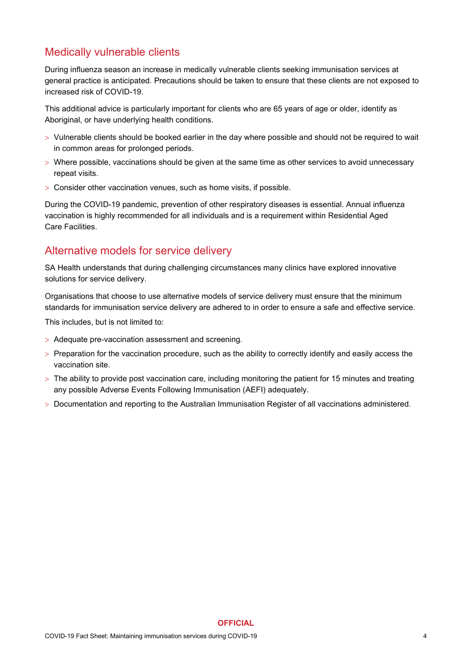## Medically vulnerable clients

During influenza season an increase in medically vulnerable clients seeking immunisation services at general practice is anticipated. Precautions should be taken to ensure that these clients are not exposed to increased risk of COVID-19.

This additional advice is particularly important for clients who are 65 years of age or older, identify as Aboriginal, or have underlying health conditions.

- > Vulnerable clients should be booked earlier in the day where possible and should not be required to wait in common areas for prolonged periods.
- > Where possible, vaccinations should be given at the same time as other services to avoid unnecessary repeat visits.
- > Consider other vaccination venues, such as home visits, if possible.

During the COVID-19 pandemic, prevention of other respiratory diseases is essential. Annual influenza vaccination is highly recommended for all individuals and is a requirement within Residential Aged Care Facilities.

## Alternative models for service delivery

SA Health understands that during challenging circumstances many clinics have explored innovative solutions for service delivery.

Organisations that choose to use alternative models of service delivery must ensure that the minimum standards for immunisation service delivery are adhered to in order to ensure a safe and effective service.

This includes, but is not limited to:

- > Adequate pre-vaccination assessment and screening.
- > Preparation for the vaccination procedure, such as the ability to correctly identify and easily access the vaccination site.
- > The ability to provide post vaccination care, including monitoring the patient for 15 minutes and treating any possible Adverse Events Following Immunisation (AEFI) adequately.
- > Documentation and reporting to the Australian Immunisation Register of all vaccinations administered.